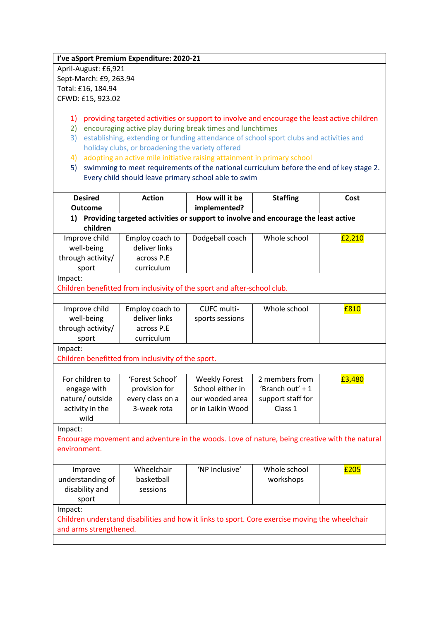**I've aSport Premium Expenditure: 2020-21**

April-August: £6,921 Sept-March: £9, 263.94 Total: £16, 184.94 CFWD: £15, 923.02

- 1) providing targeted activities or support to involve and encourage the least active children
- 2) encouraging active play during break times and lunchtimes
- 3) establishing, extending or funding attendance of school sport clubs and activities and holiday clubs, or broadening the variety offered
- 4) adopting an active mile initiative raising attainment in primary school
- 5) swimming to meet requirements of the national curriculum before the end of key stage 2. Every child should leave primary school able to swim

| <b>Desired</b>                                                                                  | <b>Action</b>    | How will it be                                                                                 | <b>Staffing</b>   | Cost   |  |  |  |
|-------------------------------------------------------------------------------------------------|------------------|------------------------------------------------------------------------------------------------|-------------------|--------|--|--|--|
| <b>Outcome</b>                                                                                  |                  | implemented?                                                                                   |                   |        |  |  |  |
| Providing targeted activities or support to involve and encourage the least active<br>1)        |                  |                                                                                                |                   |        |  |  |  |
| children                                                                                        |                  |                                                                                                |                   |        |  |  |  |
| Improve child                                                                                   | Employ coach to  | Dodgeball coach                                                                                | Whole school      | £2,210 |  |  |  |
| well-being                                                                                      | deliver links    |                                                                                                |                   |        |  |  |  |
| through activity/                                                                               | across P.E       |                                                                                                |                   |        |  |  |  |
| sport                                                                                           | curriculum       |                                                                                                |                   |        |  |  |  |
| Impact:                                                                                         |                  |                                                                                                |                   |        |  |  |  |
|                                                                                                 |                  | Children benefitted from inclusivity of the sport and after-school club.                       |                   |        |  |  |  |
|                                                                                                 |                  |                                                                                                |                   |        |  |  |  |
| Improve child                                                                                   | Employ coach to  | CUFC multi-                                                                                    | Whole school      | £810   |  |  |  |
| well-being                                                                                      | deliver links    | sports sessions                                                                                |                   |        |  |  |  |
| through activity/                                                                               | across P.E       |                                                                                                |                   |        |  |  |  |
| sport                                                                                           | curriculum       |                                                                                                |                   |        |  |  |  |
| Impact:                                                                                         |                  |                                                                                                |                   |        |  |  |  |
| Children benefitted from inclusivity of the sport.                                              |                  |                                                                                                |                   |        |  |  |  |
|                                                                                                 |                  |                                                                                                |                   |        |  |  |  |
| For children to                                                                                 | 'Forest School'  | <b>Weekly Forest</b>                                                                           | 2 members from    | £3,480 |  |  |  |
| engage with                                                                                     | provision for    | School either in                                                                               | 'Branch out' + 1  |        |  |  |  |
| nature/outside                                                                                  | every class on a | our wooded area                                                                                | support staff for |        |  |  |  |
| activity in the                                                                                 | 3-week rota      | or in Laikin Wood                                                                              | Class 1           |        |  |  |  |
| wild                                                                                            |                  |                                                                                                |                   |        |  |  |  |
| Impact:                                                                                         |                  |                                                                                                |                   |        |  |  |  |
|                                                                                                 |                  | Encourage movement and adventure in the woods. Love of nature, being creative with the natural |                   |        |  |  |  |
| environment.                                                                                    |                  |                                                                                                |                   |        |  |  |  |
|                                                                                                 |                  |                                                                                                |                   |        |  |  |  |
| Improve                                                                                         | Wheelchair       | 'NP Inclusive'                                                                                 | Whole school      | £205   |  |  |  |
| understanding of                                                                                | basketball       |                                                                                                | workshops         |        |  |  |  |
| disability and                                                                                  | sessions         |                                                                                                |                   |        |  |  |  |
| sport                                                                                           |                  |                                                                                                |                   |        |  |  |  |
| Impact:                                                                                         |                  |                                                                                                |                   |        |  |  |  |
| Children understand disabilities and how it links to sport. Core exercise moving the wheelchair |                  |                                                                                                |                   |        |  |  |  |
| and arms strengthened.                                                                          |                  |                                                                                                |                   |        |  |  |  |
|                                                                                                 |                  |                                                                                                |                   |        |  |  |  |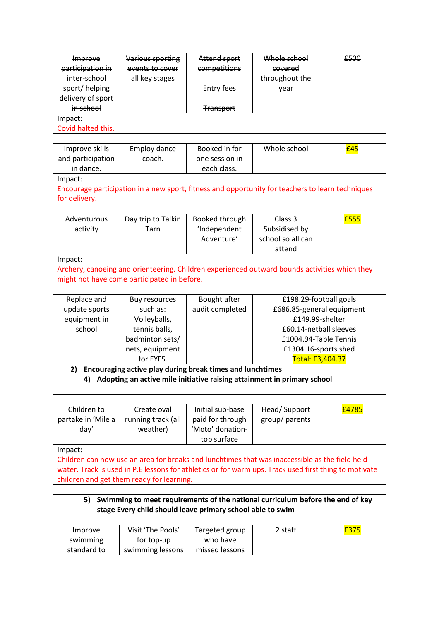| Improve                                                                                               | Various sporting                                                                                 | Attend sport     | Whole school              | £500                   |  |  |  |
|-------------------------------------------------------------------------------------------------------|--------------------------------------------------------------------------------------------------|------------------|---------------------------|------------------------|--|--|--|
| participation in                                                                                      | events to cover                                                                                  | competitions     | covered                   |                        |  |  |  |
| inter-school                                                                                          | all key stages                                                                                   |                  | throughout the            |                        |  |  |  |
| sport/helping                                                                                         |                                                                                                  | Entry fees       | year                      |                        |  |  |  |
| delivery of sport                                                                                     |                                                                                                  |                  |                           |                        |  |  |  |
| in school                                                                                             |                                                                                                  | <b>Transport</b> |                           |                        |  |  |  |
| Impact:                                                                                               |                                                                                                  |                  |                           |                        |  |  |  |
| Covid halted this.                                                                                    |                                                                                                  |                  |                           |                        |  |  |  |
|                                                                                                       |                                                                                                  |                  |                           |                        |  |  |  |
| Improve skills                                                                                        | Employ dance                                                                                     | Booked in for    | Whole school              | £45                    |  |  |  |
| and participation                                                                                     | coach.                                                                                           | one session in   |                           |                        |  |  |  |
| in dance.                                                                                             |                                                                                                  | each class.      |                           |                        |  |  |  |
| Impact:                                                                                               |                                                                                                  |                  |                           |                        |  |  |  |
|                                                                                                       | Encourage participation in a new sport, fitness and opportunity for teachers to learn techniques |                  |                           |                        |  |  |  |
| for delivery.                                                                                         |                                                                                                  |                  |                           |                        |  |  |  |
|                                                                                                       |                                                                                                  |                  |                           |                        |  |  |  |
|                                                                                                       |                                                                                                  |                  | Class 3                   |                        |  |  |  |
| Adventurous                                                                                           | Day trip to Talkin                                                                               | Booked through   |                           | £555                   |  |  |  |
| activity                                                                                              | Tarn                                                                                             | 'Independent     | Subsidised by             |                        |  |  |  |
|                                                                                                       |                                                                                                  | Adventure'       | school so all can         |                        |  |  |  |
|                                                                                                       |                                                                                                  |                  | attend                    |                        |  |  |  |
| Impact:                                                                                               |                                                                                                  |                  |                           |                        |  |  |  |
|                                                                                                       | Archery, canoeing and orienteering. Children experienced outward bounds activities which they    |                  |                           |                        |  |  |  |
|                                                                                                       | might not have come participated in before.                                                      |                  |                           |                        |  |  |  |
|                                                                                                       |                                                                                                  |                  |                           |                        |  |  |  |
| Replace and                                                                                           | <b>Buy resources</b>                                                                             | Bought after     | £198.29-football goals    |                        |  |  |  |
| update sports                                                                                         | such as:                                                                                         | audit completed  | £686.85-general equipment |                        |  |  |  |
| equipment in                                                                                          | Volleyballs,                                                                                     |                  | £149.99-shelter           |                        |  |  |  |
| school                                                                                                | tennis balls,                                                                                    |                  |                           | £60.14-netball sleeves |  |  |  |
|                                                                                                       | badminton sets/                                                                                  |                  |                           | £1004.94-Table Tennis  |  |  |  |
|                                                                                                       | nets, equipment                                                                                  |                  |                           | £1304.16-sports shed   |  |  |  |
|                                                                                                       | for EYFS.                                                                                        |                  | Total: £3,404.37          |                        |  |  |  |
| 2)                                                                                                    | Encouraging active play during break times and lunchtimes                                        |                  |                           |                        |  |  |  |
|                                                                                                       | 4) Adopting an active mile initiative raising attainment in primary school                       |                  |                           |                        |  |  |  |
|                                                                                                       |                                                                                                  |                  |                           |                        |  |  |  |
|                                                                                                       |                                                                                                  |                  |                           |                        |  |  |  |
| Children to                                                                                           | Create oval                                                                                      | Initial sub-base | Head/Support              | £4785                  |  |  |  |
| partake in 'Mile a                                                                                    | running track (all                                                                               | paid for through | group/ parents            |                        |  |  |  |
| day'                                                                                                  | weather)                                                                                         | 'Moto' donation- |                           |                        |  |  |  |
|                                                                                                       |                                                                                                  | top surface      |                           |                        |  |  |  |
|                                                                                                       |                                                                                                  |                  |                           |                        |  |  |  |
| Impact:                                                                                               |                                                                                                  |                  |                           |                        |  |  |  |
|                                                                                                       | Children can now use an area for breaks and lunchtimes that was inaccessible as the field held   |                  |                           |                        |  |  |  |
| water. Track is used in P.E lessons for athletics or for warm ups. Track used first thing to motivate |                                                                                                  |                  |                           |                        |  |  |  |
| children and get them ready for learning.                                                             |                                                                                                  |                  |                           |                        |  |  |  |
|                                                                                                       |                                                                                                  |                  |                           |                        |  |  |  |
| Swimming to meet requirements of the national curriculum before the end of key<br>5)                  |                                                                                                  |                  |                           |                        |  |  |  |
| stage Every child should leave primary school able to swim                                            |                                                                                                  |                  |                           |                        |  |  |  |
|                                                                                                       |                                                                                                  |                  |                           |                        |  |  |  |
| Improve                                                                                               | Visit 'The Pools'                                                                                | Targeted group   | 2 staff                   | £375                   |  |  |  |
| swimming                                                                                              | for top-up                                                                                       | who have         |                           |                        |  |  |  |
| standard to                                                                                           | swimming lessons                                                                                 | missed lessons   |                           |                        |  |  |  |